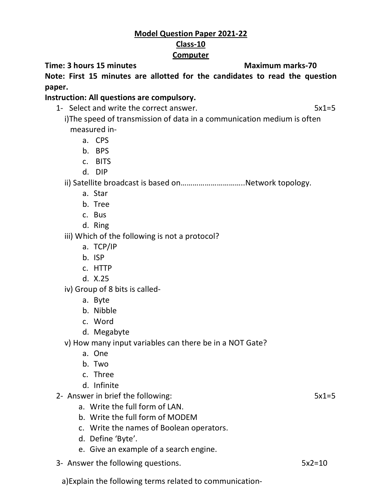## **Model Question Paper 2021-22 Class-10 Computer**

**Time: 3 hours 15 minutes Maximum marks-70** 

**Note: First 15 minutes are allotted for the candidates to read the question paper.**

## **Instruction: All questions are compulsory.**

1- Select and write the correct answer. 5x1=5

i)The speed of transmission of data in a communication medium is often measured in-

- a. CPS
- b. BPS
- c. BITS
- d. DIP

ii) Satellite broadcast is based on…………………………..Network topology.

- a. Star
- b. Tree
- c. Bus
- d. Ring

iii) Which of the following is not a protocol?

- a. TCP/IP
- b. ISP
- c. HTTP
- d. X.25

iv) Group of 8 bits is called-

- a. Byte
- b. Nibble
- c. Word
- d. Megabyte

v) How many input variables can there be in a NOT Gate?

- a. One
- b. Two
- c. Three
- d. Infinite
- 2- Answer in brief the following: 5x1=5
	- a. Write the full form of LAN.
	- b. Write the full form of MODEM
	- c. Write the names of Boolean operators.
	- d. Define 'Byte'.
	- e. Give an example of a search engine.
- 3- Answer the following questions. The same state of the state state of  $5x2=10$

a)Explain the following terms related to communication-